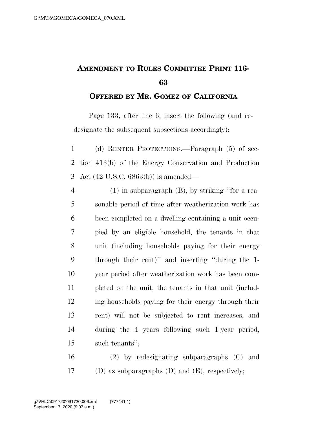## **AMENDMENT TO RULES COMMITTEE PRINT 116-**

**OFFERED BY MR. GOMEZ OF CALIFORNIA**

Page 133, after line 6, insert the following (and redesignate the subsequent subsections accordingly):

 (d) RENTER PROTECTIONS.—Paragraph (5) of sec- tion 413(b) of the Energy Conservation and Production Act (42 U.S.C. 6863(b)) is amended—

 (1) in subparagraph (B), by striking ''for a rea- sonable period of time after weatherization work has been completed on a dwelling containing a unit occu- pied by an eligible household, the tenants in that unit (including households paying for their energy through their rent)'' and inserting ''during the 1- year period after weatherization work has been com- pleted on the unit, the tenants in that unit (includ- ing households paying for their energy through their rent) will not be subjected to rent increases, and during the 4 years following such 1-year period, such tenants'';

 (2) by redesignating subparagraphs (C) and 17 (D) as subparagraphs  $(D)$  and  $(E)$ , respectively;